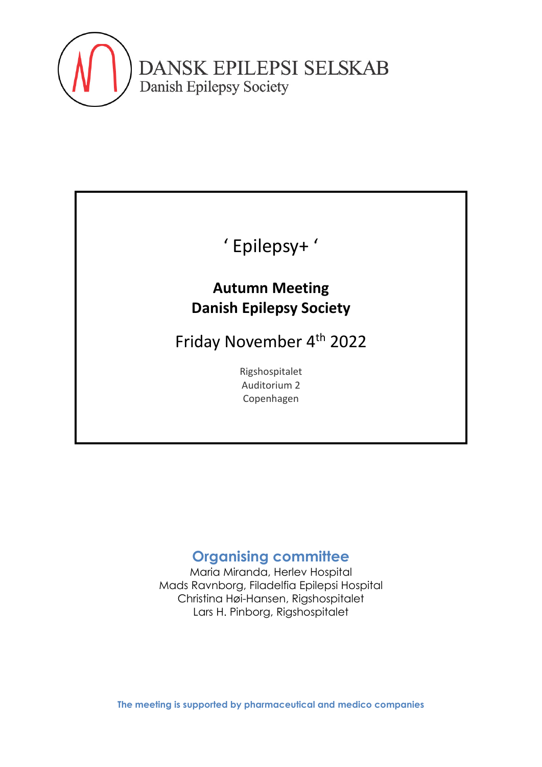

# ' Epilepsy+ '

### **Autumn Meeting Danish Epilepsy Society**

Friday November 4th 2022

Rigshospitalet Auditorium 2 Copenhagen

### **Organising committee**

Maria Miranda, Herlev Hospital Mads Ravnborg, Filadelfia Epilepsi Hospital Christina Høi-Hansen, Rigshospitalet Lars H. Pinborg, Rigshospitalet

**The meeting is supported by pharmaceutical and medico companies**